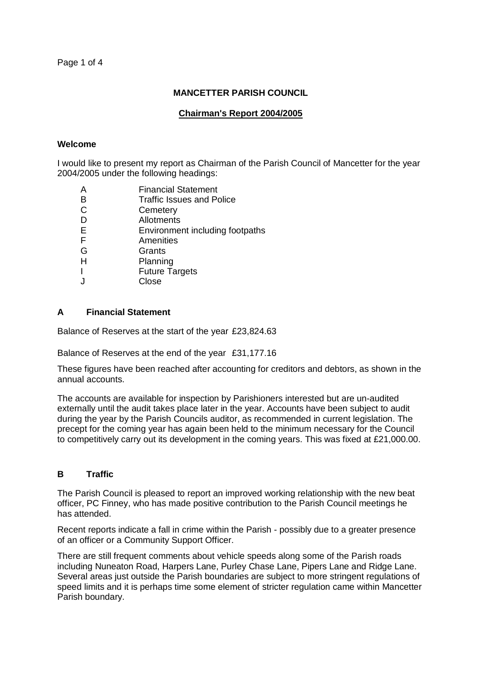# **MANCETTER PARISH COUNCIL**

## **Chairman's Report 2004/2005**

#### **Welcome**

I would like to present my report as Chairman of the Parish Council of Mancetter for the year 2004/2005 under the following headings:

- A Financial Statement<br>B Traffic Issues and Po
- B Traffic Issues and Police<br>C Cemetery
- **Cemetery**
- D Allotments
- E Environment including footpaths
- F Amenities
- G Grants
- H Planning
- I Future Targets
- J Close

# **A Financial Statement**

Balance of Reserves at the start of the year £23,824.63

Balance of Reserves at the end of the year £31,177.16

These figures have been reached after accounting for creditors and debtors, as shown in the annual accounts.

The accounts are available for inspection by Parishioners interested but are un-audited externally until the audit takes place later in the year. Accounts have been subject to audit during the year by the Parish Councils auditor, as recommended in current legislation. The precept for the coming year has again been held to the minimum necessary for the Council to competitively carry out its development in the coming years. This was fixed at £21,000.00.

## **B Traffic**

The Parish Council is pleased to report an improved working relationship with the new beat officer, PC Finney, who has made positive contribution to the Parish Council meetings he has attended.

Recent reports indicate a fall in crime within the Parish - possibly due to a greater presence of an officer or a Community Support Officer.

There are still frequent comments about vehicle speeds along some of the Parish roads including Nuneaton Road, Harpers Lane, Purley Chase Lane, Pipers Lane and Ridge Lane. Several areas just outside the Parish boundaries are subject to more stringent regulations of speed limits and it is perhaps time some element of stricter regulation came within Mancetter Parish boundary.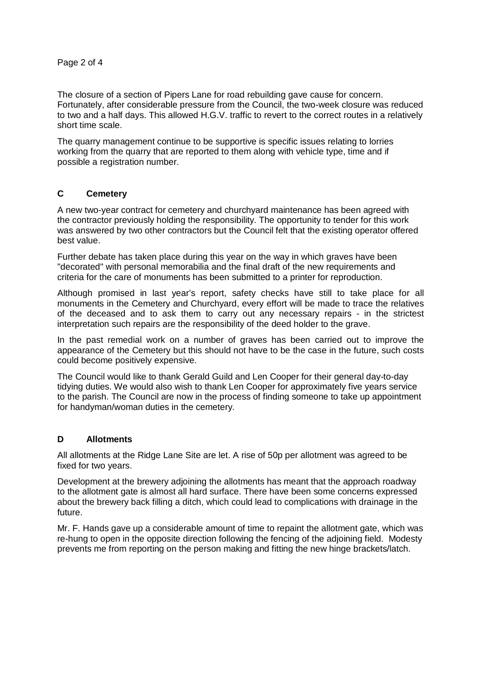Page 2 of 4

The closure of a section of Pipers Lane for road rebuilding gave cause for concern. Fortunately, after considerable pressure from the Council, the two-week closure was reduced to two and a half days. This allowed H.G.V. traffic to revert to the correct routes in a relatively short time scale.

The quarry management continue to be supportive is specific issues relating to lorries working from the quarry that are reported to them along with vehicle type, time and if possible a registration number.

# **C Cemetery**

A new two-year contract for cemetery and churchyard maintenance has been agreed with the contractor previously holding the responsibility. The opportunity to tender for this work was answered by two other contractors but the Council felt that the existing operator offered best value.

Further debate has taken place during this year on the way in which graves have been "decorated" with personal memorabilia and the final draft of the new requirements and criteria for the care of monuments has been submitted to a printer for reproduction.

Although promised in last year's report, safety checks have still to take place for all monuments in the Cemetery and Churchyard, every effort will be made to trace the relatives of the deceased and to ask them to carry out any necessary repairs - in the strictest interpretation such repairs are the responsibility of the deed holder to the grave.

In the past remedial work on a number of graves has been carried out to improve the appearance of the Cemetery but this should not have to be the case in the future, such costs could become positively expensive.

The Council would like to thank Gerald Guild and Len Cooper for their general day-to-day tidying duties. We would also wish to thank Len Cooper for approximately five years service to the parish. The Council are now in the process of finding someone to take up appointment for handyman/woman duties in the cemetery.

# **D Allotments**

All allotments at the Ridge Lane Site are let. A rise of 50p per allotment was agreed to be fixed for two years.

Development at the brewery adjoining the allotments has meant that the approach roadway to the allotment gate is almost all hard surface. There have been some concerns expressed about the brewery back filling a ditch, which could lead to complications with drainage in the future.

Mr. F. Hands gave up a considerable amount of time to repaint the allotment gate, which was re-hung to open in the opposite direction following the fencing of the adjoining field. Modesty prevents me from reporting on the person making and fitting the new hinge brackets/latch.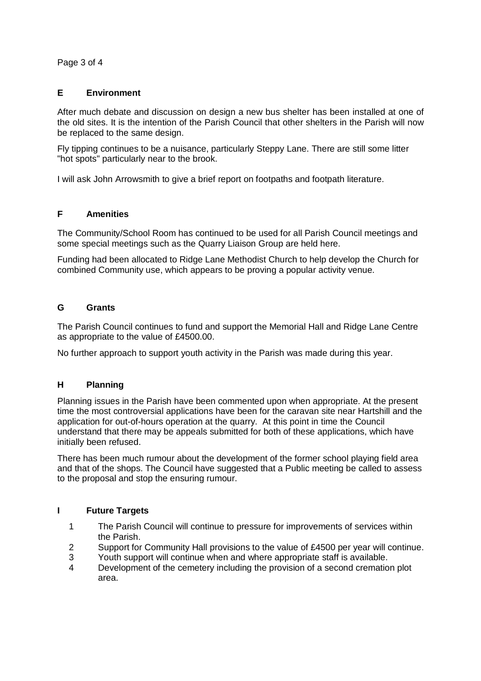Page 3 of 4

### **E Environment**

After much debate and discussion on design a new bus shelter has been installed at one of the old sites. It is the intention of the Parish Council that other shelters in the Parish will now be replaced to the same design.

Fly tipping continues to be a nuisance, particularly Steppy Lane. There are still some litter "hot spots" particularly near to the brook.

I will ask John Arrowsmith to give a brief report on footpaths and footpath literature.

#### **F Amenities**

The Community/School Room has continued to be used for all Parish Council meetings and some special meetings such as the Quarry Liaison Group are held here.

Funding had been allocated to Ridge Lane Methodist Church to help develop the Church for combined Community use, which appears to be proving a popular activity venue.

#### **G Grants**

The Parish Council continues to fund and support the Memorial Hall and Ridge Lane Centre as appropriate to the value of £4500.00.

No further approach to support youth activity in the Parish was made during this year.

# **H Planning**

Planning issues in the Parish have been commented upon when appropriate. At the present time the most controversial applications have been for the caravan site near Hartshill and the application for out-of-hours operation at the quarry. At this point in time the Council understand that there may be appeals submitted for both of these applications, which have initially been refused.

There has been much rumour about the development of the former school playing field area and that of the shops. The Council have suggested that a Public meeting be called to assess to the proposal and stop the ensuring rumour.

#### **I Future Targets**

- 1 The Parish Council will continue to pressure for improvements of services within the Parish.
- 2 Support for Community Hall provisions to the value of £4500 per year will continue.
- 3 Youth support will continue when and where appropriate staff is available.
- 4 Development of the cemetery including the provision of a second cremation plot area.